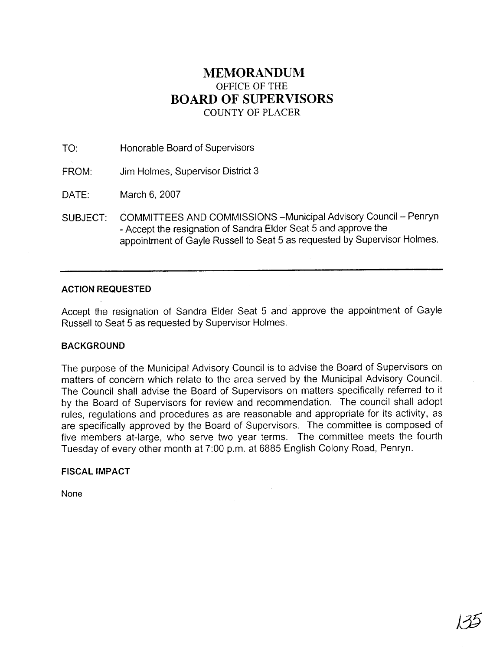## **MEMORANDUM**  OFFICE OF THE **BOARD OF SUPERVISORS**  COUNTY OF PLACER

TO: Honorable Board of Supervisors

FROM: Jim Holmes, Supervisor District 3

DATE: March 6,2007

SUBJECT: COMMITTEES AND COMMISSIONS - Municipal Advisory Council - Penryn - Accept the resignation of Sandra Elder Seat 5 and approve the appointment of Gayle Russell to Seat 5 as requested by Supervisor Holmes.

## **ACTION REQUESTED**

Accept the resignation of Sandra Elder Seat 5 and approve the appointment of Gayle Russell to Seat 5 as requested by Supervisor Holmes.

## **BACKGROUND**

The purpose of the Municipal Advisory Council is to advise the Board of Supervisors on matters of concern which relate to the area served by the Municipal Advisory Council. The Council shall advise the Board of Supervisors on matters specifically referred to it by the Board of Supervisors for review and recommendation. The council shall adopt rules, regulations and procedures as are reasonable and appropriate for its activity, as are specifically approved by the Board of Supervisors. The committee is composed of five members at-large, who serve two year terms. The committee meets the fourth Tuesday of every other month at 7:00 p.m. at 6885 English Colony Road, Penryn.

## **FISCAL IMPACT**

None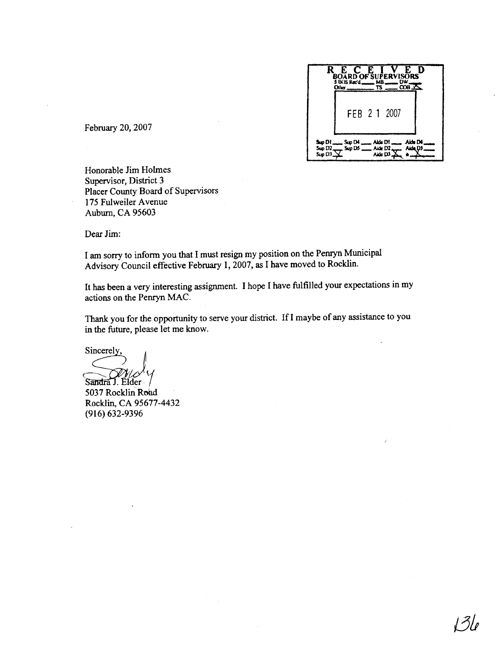

February **20,2007** 

Honorable Jim Holmes Supervisor, District **3**  Placer County Board of Supervisors 175 Fdweiler Avenue Auburn, CA 95603

Dear Jim:

I am sony to inform you that I must resign my position on the Penryn Municipal Advisory Council effective February **1,2007,** as I have moved to Rocklin.

It has been a very interesting assignment. I hope I have hlfilled your expectations in my actions on the Penryn MAC.

Thank you for the opportunity to serve your district. If I maybe of any assistance to you in the future, please let me know.

Sincerely,

Sandra J. Elder 5037 Rocklin Road Rocklin, CA **95677-4432 (916) 632-9396**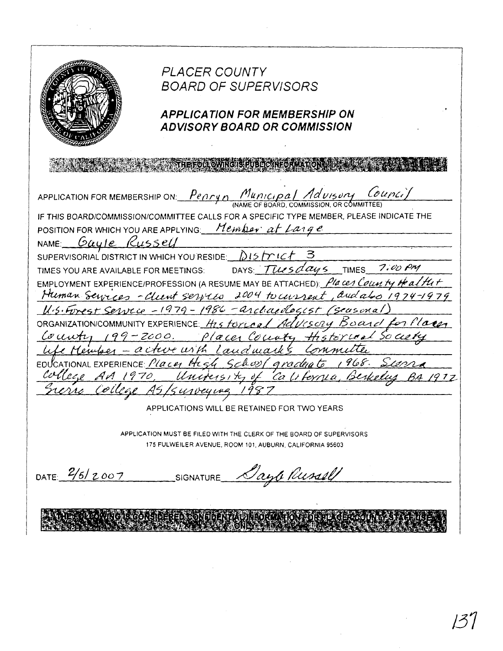*PLACER COUNTY* **BOARD OF SUPERVISORS APPLICATION FOR MEMBERSHIP ON ADVISORY BOARD OR COMMISSION** <u>Penryn</u> Municipal Advisory Col sury Council APPLICATION FOR MEMBERSHIP ON: IF THIS BOARD/COMMISSION/COMMITTEE CALLS FOR A SPECIFIC TYPE MEMBER, PLEASE INDICATE THE POSITION FOR WHICH YOU ARE APPLYING: Member at Large NAME: Gayle Russell SUPERVISORIAL DISTRICT IN WHICH YOU RESIDE: 215 FLC DAYS Tuesdays 7:00 PM **TIMES** TIMES YOU ARE AVAILABLE FOR MEETINGS: EMPLOYMENT EXPERIENCE/PROFESSION (A RESUME MAY BE ATTACHED): *Places County of alth+* Human Services - Client services 2004 to current, and also 1974-1979 U.S. Forest Service - 1979 - 1986 - archaeologist (seusonal Advisory Board ORGANIZATION/COMMUNITY EXPERIENCE: H25 FOYCORL County 199-2000. Places County thatorical Social Committee e Member - acture with Landmarks EDUCATIONAL EXPERIENCE: Place High Schopf graduate 1968. college AA 1970, University of California, Berkel rerie College As/surveying 1987 APPLICATIONS WILL BE RETAINED FOR TWO YEARS APPLICATION MUST BE FILED WITH THE CLERK OF THE BOARD OF SUPERVISORS 175 FULWEILER AVENUE, ROOM 101, AUBURN, CALIFORNIA 95603 DATE:  $2/6/2007$ Dayte Russell SIGNATURE